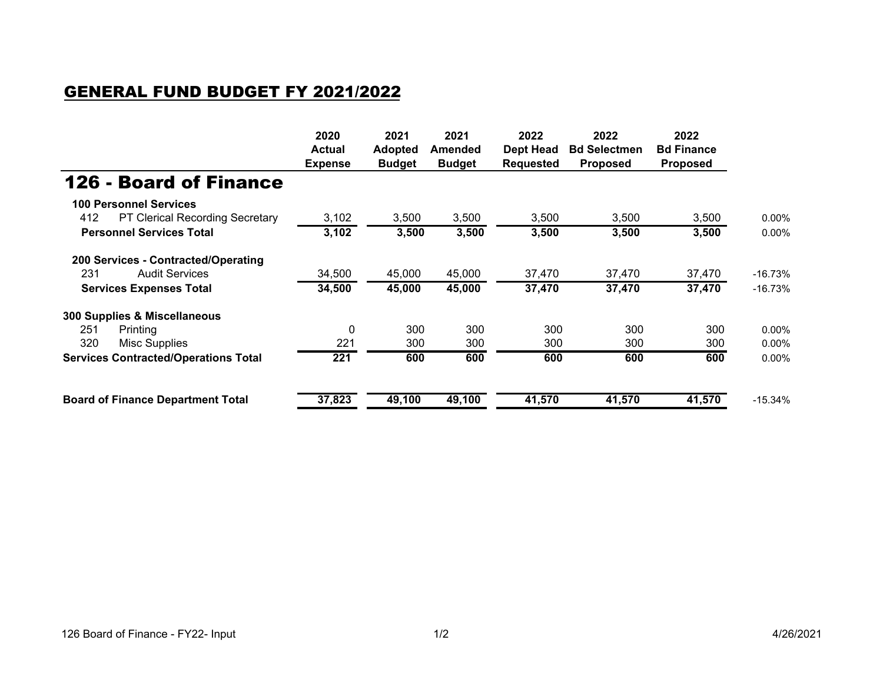## GENERAL FUND BUDGET FY 2021/2022

|                                             | 2020<br><b>Actual</b><br><b>Expense</b> | 2021<br><b>Adopted</b><br><b>Budget</b> | 2021<br>Amended<br><b>Budget</b> | 2022<br><b>Dept Head</b><br>Requested | 2022<br><b>Bd Selectmen</b><br><b>Proposed</b> | 2022<br><b>Bd Finance</b><br><b>Proposed</b> |            |
|---------------------------------------------|-----------------------------------------|-----------------------------------------|----------------------------------|---------------------------------------|------------------------------------------------|----------------------------------------------|------------|
|                                             |                                         |                                         |                                  |                                       |                                                |                                              |            |
| <b>126 - Board of Finance</b>               |                                         |                                         |                                  |                                       |                                                |                                              |            |
| <b>100 Personnel Services</b>               |                                         |                                         |                                  |                                       |                                                |                                              |            |
| 412<br>PT Clerical Recording Secretary      | 3,102                                   | 3,500                                   | 3,500                            | 3,500                                 | 3,500                                          | 3,500                                        | $0.00\%$   |
| <b>Personnel Services Total</b>             | 3,102                                   | 3,500                                   | 3,500                            | 3,500                                 | 3,500                                          | 3,500                                        | $0.00\%$   |
| 200 Services - Contracted/Operating         |                                         |                                         |                                  |                                       |                                                |                                              |            |
| <b>Audit Services</b><br>231                | 34,500                                  | 45,000                                  | 45,000                           | 37,470                                | 37,470                                         | 37,470                                       | $-16.73%$  |
| <b>Services Expenses Total</b>              | 34,500                                  | 45,000                                  | 45,000                           | 37,470                                | 37,470                                         | 37,470                                       | $-16.73\%$ |
| 300 Supplies & Miscellaneous                |                                         |                                         |                                  |                                       |                                                |                                              |            |
| 251<br>Printing                             | $\Omega$                                | 300                                     | 300                              | 300                                   | 300                                            | 300                                          | $0.00\%$   |
| 320<br>Misc Supplies                        | 221                                     | 300                                     | 300                              | 300                                   | 300                                            | 300                                          | $0.00\%$   |
| <b>Services Contracted/Operations Total</b> | 221                                     | 600                                     | 600                              | 600                                   | 600                                            | 600                                          | $0.00\%$   |
| <b>Board of Finance Department Total</b>    | 37,823                                  | 49,100                                  | 49,100                           | 41,570                                | 41,570                                         | 41,570                                       | $-15.34%$  |